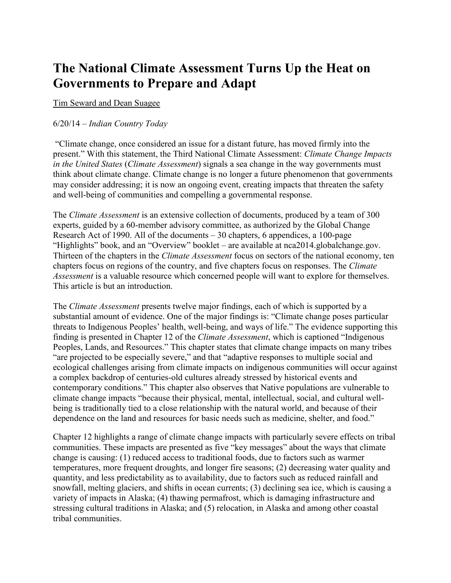## **The National Climate Assessment Turns Up the Heat on Governments to Prepare and Adapt**

## Tim [Seward](http://indiancountrytodaymedianetwork.com/advanced/search?fq%5b0%5d=ts_field_full_name%3ATim%20Seward) and Dean Suagee

## 6/20/14 – *Indian Country Today*

"Climate change, once considered an issue for a distant future, has moved firmly into the present." With this statement, the Third National Climate Assessment: *Climate Change Impacts in the United States* (*Climate Assessment*) signals a sea change in the way governments must think about climate change. Climate change is no longer a future phenomenon that governments may consider addressing; it is now an ongoing event, creating impacts that threaten the safety and well-being of communities and compelling a governmental response.

The *Climate Assessment* is an extensive collection of documents, produced by a team of 300 experts, guided by a 60-member advisory committee, as authorized by the Global Change Research Act of 1990. All of the documents – 30 chapters, 6 appendices, a 100-page "Highlights" book, and an "Overview" booklet – are available at nca2014.globalchange.gov. Thirteen of the chapters in the *Climate Assessment* focus on sectors of the national economy, ten chapters focus on regions of the country, and five chapters focus on responses. The *Climate Assessment* is a valuable resource which concerned people will want to explore for themselves. This article is but an introduction.

The *Climate Assessment* presents twelve major findings, each of which is supported by a substantial amount of evidence. One of the major findings is: "Climate change poses particular threats to Indigenous Peoples' health, well-being, and ways of life." The evidence supporting this finding is presented in Chapter 12 of the *Climate Assessment*, which is captioned "Indigenous Peoples, Lands, and Resources." This chapter states that climate change impacts on many tribes "are projected to be especially severe," and that "adaptive responses to multiple social and ecological challenges arising from climate impacts on indigenous communities will occur against a complex backdrop of centuries-old cultures already stressed by historical events and contemporary conditions." This chapter also observes that Native populations are vulnerable to climate change impacts "because their physical, mental, intellectual, social, and cultural wellbeing is traditionally tied to a close relationship with the natural world, and because of their dependence on the land and resources for basic needs such as medicine, shelter, and food."

Chapter 12 highlights a range of climate change impacts with particularly severe effects on tribal communities. These impacts are presented as five "key messages" about the ways that climate change is causing: (1) reduced access to traditional foods, due to factors such as warmer temperatures, more frequent droughts, and longer fire seasons; (2) decreasing water quality and quantity, and less predictability as to availability, due to factors such as reduced rainfall and snowfall, melting glaciers, and shifts in ocean currents; (3) declining sea ice, which is causing a variety of impacts in Alaska; (4) thawing permafrost, which is damaging infrastructure and stressing cultural traditions in Alaska; and (5) relocation, in Alaska and among other coastal tribal communities.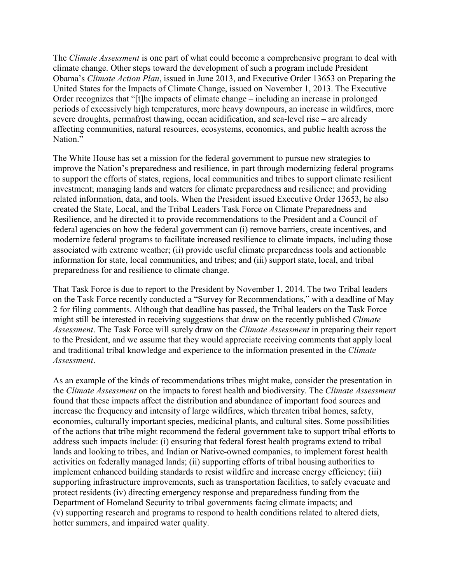The *Climate Assessment* is one part of what could become a comprehensive program to deal with climate change. Other steps toward the development of such a program include President Obama's *Climate Action Plan*, issued in June 2013, and Executive Order 13653 on Preparing the United States for the Impacts of Climate Change, issued on November 1, 2013. The Executive Order recognizes that "[t]he impacts of climate change – including an increase in prolonged periods of excessively high temperatures, more heavy downpours, an increase in wildfires, more severe droughts, permafrost thawing, ocean acidification, and sea-level rise – are already affecting communities, natural resources, ecosystems, economics, and public health across the Nation."

The White House has set a mission for the federal government to pursue new strategies to improve the Nation's preparedness and resilience, in part through modernizing federal programs to support the efforts of states, regions, local communities and tribes to support climate resilient investment; managing lands and waters for climate preparedness and resilience; and providing related information, data, and tools. When the President issued Executive Order 13653, he also created the State, Local, and the Tribal Leaders Task Force on Climate Preparedness and Resilience, and he directed it to provide recommendations to the President and a Council of federal agencies on how the federal government can (i) remove barriers, create incentives, and modernize federal programs to facilitate increased resilience to climate impacts, including those associated with extreme weather; (ii) provide useful climate preparedness tools and actionable information for state, local communities, and tribes; and (iii) support state, local, and tribal preparedness for and resilience to climate change.

That Task Force is due to report to the President by November 1, 2014. The two Tribal leaders on the Task Force recently conducted a "Survey for Recommendations," with a deadline of May 2 for filing comments. Although that deadline has passed, the Tribal leaders on the Task Force might still be interested in receiving suggestions that draw on the recently published *Climate Assessment*. The Task Force will surely draw on the *Climate Assessment* in preparing their report to the President, and we assume that they would appreciate receiving comments that apply local and traditional tribal knowledge and experience to the information presented in the *Climate Assessment*.

As an example of the kinds of recommendations tribes might make, consider the presentation in the *Climate Assessment* on the impacts to forest health and biodiversity. The *Climate Assessment* found that these impacts affect the distribution and abundance of important food sources and increase the frequency and intensity of large wildfires, which threaten tribal homes, safety, economies, culturally important species, medicinal plants, and cultural sites. Some possibilities of the actions that tribe might recommend the federal government take to support tribal efforts to address such impacts include: (i) ensuring that federal forest health programs extend to tribal lands and looking to tribes, and Indian or Native-owned companies, to implement forest health activities on federally managed lands; (ii) supporting efforts of tribal housing authorities to implement enhanced building standards to resist wildfire and increase energy efficiency; (iii) supporting infrastructure improvements, such as transportation facilities, to safely evacuate and protect residents (iv) directing emergency response and preparedness funding from the Department of Homeland Security to tribal governments facing climate impacts; and (v) supporting research and programs to respond to health conditions related to altered diets, hotter summers, and impaired water quality.